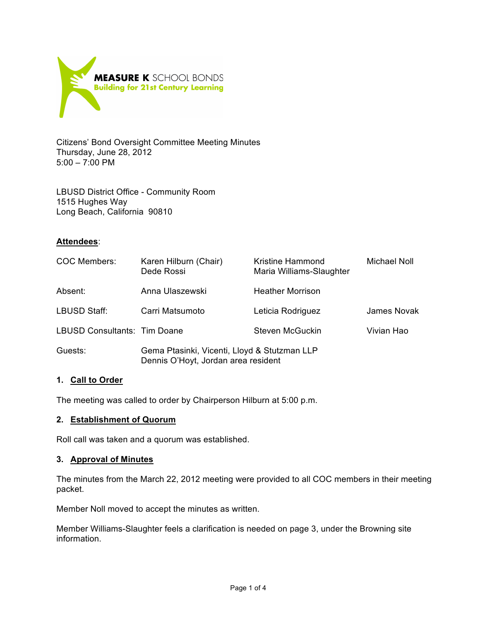

Citizens' Bond Oversight Committee Meeting Minutes Thursday, June 28, 2012 5:00 – 7:00 PM

LBUSD District Office - Community Room 1515 Hughes Way Long Beach, California 90810

## **Attendees**:

| <b>COC Members:</b>          | Karen Hilburn (Chair)<br>Dede Rossi                                                 | Kristine Hammond<br>Maria Williams-Slaughter | <b>Michael Noll</b> |
|------------------------------|-------------------------------------------------------------------------------------|----------------------------------------------|---------------------|
| Absent:                      | Anna Ulaszewski                                                                     | <b>Heather Morrison</b>                      |                     |
| LBUSD Staff:                 | Carri Matsumoto                                                                     | Leticia Rodriguez                            | <b>James Novak</b>  |
| LBUSD Consultants: Tim Doane |                                                                                     | Steven McGuckin                              | Vivian Hao          |
| Guests:                      | Gema Ptasinki, Vicenti, Lloyd & Stutzman LLP<br>Dennis O'Hoyt, Jordan area resident |                                              |                     |

## **1. Call to Order**

The meeting was called to order by Chairperson Hilburn at 5:00 p.m.

### **2. Establishment of Quorum**

Roll call was taken and a quorum was established.

#### **3. Approval of Minutes**

The minutes from the March 22, 2012 meeting were provided to all COC members in their meeting packet.

Member Noll moved to accept the minutes as written.

Member Williams-Slaughter feels a clarification is needed on page 3, under the Browning site information.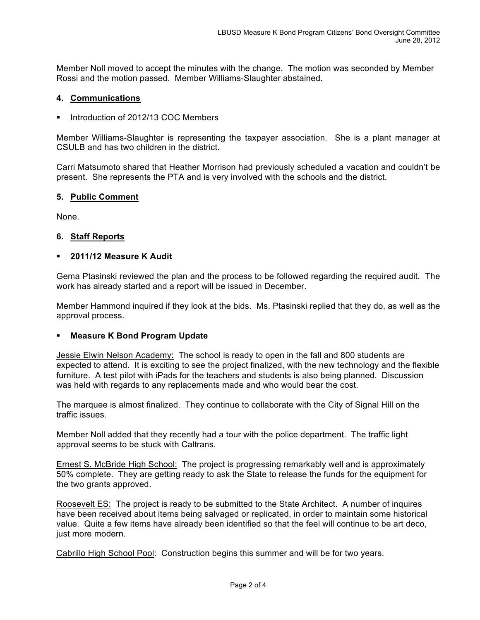Member Noll moved to accept the minutes with the change. The motion was seconded by Member Rossi and the motion passed. Member Williams-Slaughter abstained.

### **4. Communications**

Introduction of 2012/13 COC Members

Member Williams-Slaughter is representing the taxpayer association. She is a plant manager at CSULB and has two children in the district.

Carri Matsumoto shared that Heather Morrison had previously scheduled a vacation and couldn't be present. She represents the PTA and is very involved with the schools and the district.

## **5. Public Comment**

None.

## **6. Staff Reports**

### **2011/12 Measure K Audit**

Gema Ptasinski reviewed the plan and the process to be followed regarding the required audit. The work has already started and a report will be issued in December.

Member Hammond inquired if they look at the bids. Ms. Ptasinski replied that they do, as well as the approval process.

## **Measure K Bond Program Update**

Jessie Elwin Nelson Academy: The school is ready to open in the fall and 800 students are expected to attend. It is exciting to see the project finalized, with the new technology and the flexible furniture. A test pilot with iPads for the teachers and students is also being planned. Discussion was held with regards to any replacements made and who would bear the cost.

The marquee is almost finalized. They continue to collaborate with the City of Signal Hill on the traffic issues.

Member Noll added that they recently had a tour with the police department. The traffic light approval seems to be stuck with Caltrans.

Ernest S. McBride High School: The project is progressing remarkably well and is approximately 50% complete. They are getting ready to ask the State to release the funds for the equipment for the two grants approved.

Roosevelt ES: The project is ready to be submitted to the State Architect. A number of inquires have been received about items being salvaged or replicated, in order to maintain some historical value. Quite a few items have already been identified so that the feel will continue to be art deco, just more modern.

Cabrillo High School Pool: Construction begins this summer and will be for two years.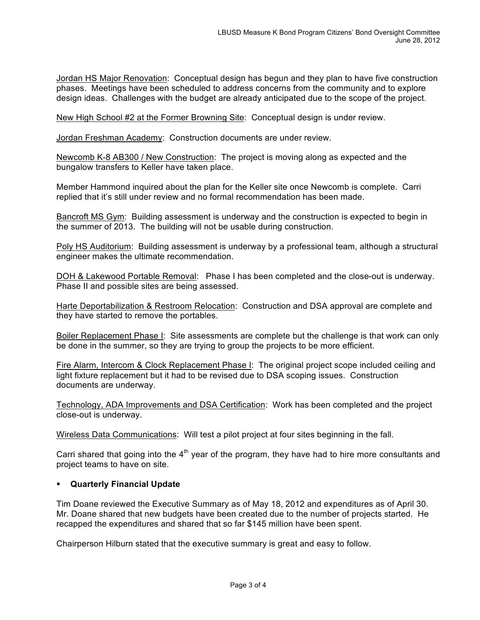Jordan HS Major Renovation: Conceptual design has begun and they plan to have five construction phases. Meetings have been scheduled to address concerns from the community and to explore design ideas. Challenges with the budget are already anticipated due to the scope of the project.

New High School #2 at the Former Browning Site: Conceptual design is under review.

Jordan Freshman Academy: Construction documents are under review.

Newcomb K-8 AB300 / New Construction: The project is moving along as expected and the bungalow transfers to Keller have taken place.

Member Hammond inquired about the plan for the Keller site once Newcomb is complete. Carri replied that it's still under review and no formal recommendation has been made.

Bancroft MS Gym: Building assessment is underway and the construction is expected to begin in the summer of 2013. The building will not be usable during construction.

Poly HS Auditorium: Building assessment is underway by a professional team, although a structural engineer makes the ultimate recommendation.

DOH & Lakewood Portable Removal: Phase I has been completed and the close-out is underway. Phase II and possible sites are being assessed.

Harte Deportabilization & Restroom Relocation: Construction and DSA approval are complete and they have started to remove the portables.

Boiler Replacement Phase I: Site assessments are complete but the challenge is that work can only be done in the summer, so they are trying to group the projects to be more efficient.

Fire Alarm, Intercom & Clock Replacement Phase I: The original project scope included ceiling and light fixture replacement but it had to be revised due to DSA scoping issues. Construction documents are underway.

Technology, ADA Improvements and DSA Certification: Work has been completed and the project close-out is underway.

Wireless Data Communications: Will test a pilot project at four sites beginning in the fall.

Carri shared that going into the  $4<sup>th</sup>$  year of the program, they have had to hire more consultants and project teams to have on site.

### **Quarterly Financial Update**

Tim Doane reviewed the Executive Summary as of May 18, 2012 and expenditures as of April 30. Mr. Doane shared that new budgets have been created due to the number of projects started. He recapped the expenditures and shared that so far \$145 million have been spent.

Chairperson Hilburn stated that the executive summary is great and easy to follow.